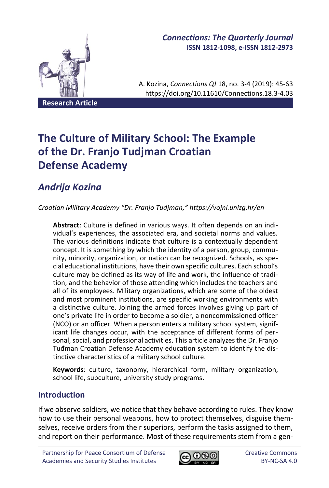

## *Connections: The Quarterly Journal* **ISSN 1812-1098, e-ISSN 1812-2973**

A. Kozina, *Connections QJ* 18, no. 3-4 (2019): 45-63 https://doi.org/10.11610/Connections.18.3-4.03

# **The Culture of Military School: The Example of the Dr. Franjo Tudjman Croatian Defense Academy**

## *Andrija Kozina*

*Croatian Military Academy "Dr. Franjo Tudjman," https://vojni.unizg.hr/en*

**Abstract**: Culture is defined in various ways. It often depends on an individual's experiences, the associated era, and societal norms and values. The various definitions indicate that culture is a contextually dependent concept. It is something by which the identity of a person, group, community, minority, organization, or nation can be recognized. Schools, as special educational institutions, have their own specific cultures. Each school's culture may be defined as its way of life and work, the influence of tradition, and the behavior of those attending which includes the teachers and all of its employees. Military organizations, which are some of the oldest and most prominent institutions, are specific working environments with a distinctive culture. Joining the armed forces involves giving up part of one's private life in order to become a soldier, a noncommissioned officer (NCO) or an officer. When a person enters a military school system, significant life changes occur, with the acceptance of different forms of personal, social, and professional activities. This article analyzes the Dr. Franjo Tuđman Croatian Defense Academy education system to identify the distinctive characteristics of a military school culture.

**Keywords**: culture, taxonomy, hierarchical form, military organization, school life, subculture, university study programs.

## **Introduction**

If we observe soldiers, we notice that they behave according to rules. They know how to use their personal weapons, how to protect themselves, disguise themselves, receive orders from their superiors, perform the tasks assigned to them, and report on their performance. Most of these requirements stem from a gen-

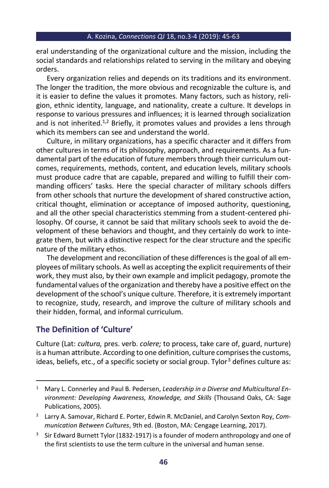eral understanding of the organizational culture and the mission, including the social standards and relationships related to serving in the military and obeying orders.

Every organization relies and depends on its traditions and its environment. The longer the tradition, the more obvious and recognizable the culture is, and it is easier to define the values it promotes. Many factors, such as history, religion, ethnic identity, language, and nationality, create a culture. It develops in response to various pressures and influences; it is learned through socialization and is not inherited.<sup>1,2</sup> Briefly, it promotes values and provides a lens through which its members can see and understand the world.

Culture, in military organizations, has a specific character and it differs from other cultures in terms of its philosophy, approach, and requirements. As a fundamental part of the education of future members through their curriculum outcomes, requirements, methods, content, and education levels, military schools must produce cadre that are capable, prepared and willing to fulfill their commanding officers' tasks. Here the special character of military schools differs from other schools that nurture the development of shared constructive action, critical thought, elimination or acceptance of imposed authority, questioning, and all the other special characteristics stemming from a student-centered philosophy. Of course, it cannot be said that military schools seek to avoid the development of these behaviors and thought, and they certainly do work to integrate them, but with a distinctive respect for the clear structure and the specific nature of the military ethos.

The development and reconciliation of these differences is the goal of all employees of military schools. As well as accepting the explicit requirements of their work, they must also, by their own example and implicit pedagogy, promote the fundamental values of the organization and thereby have a positive effect on the development of the school's unique culture. Therefore, it is extremely important to recognize, study, research, and improve the culture of military schools and their hidden, formal, and informal curriculum.

## **The Definition of 'Culture'**

Culture (Lat: *cultura,* pres. verb. *colere;* to process, take care of, guard, nurture) is a human attribute. According to one definition, culture comprises the customs, ideas, beliefs, etc., of a specific society or social group. Tylor<sup>3</sup> defines culture as:

<sup>1</sup> Mary L. Connerley and Paul B. Pedersen, *Leadership in a Diverse and Multicultural Environment: Developing Awareness, Knowledge, and Skills* (Thousand Oaks, CA: Sage Publications, 2005).

<sup>2</sup> Larry A. Samovar, Richard E. Porter, Edwin R. McDaniel, and Carolyn Sexton Roy, *Communication Between Cultures*, 9th ed. (Boston, MA: Cengage Learning, 2017).

<sup>&</sup>lt;sup>3</sup> Sir Edward Burnett Tylor (1832-1917) is a founder of modern anthropology and one of the first scientists to use the term culture in the universal and human sense.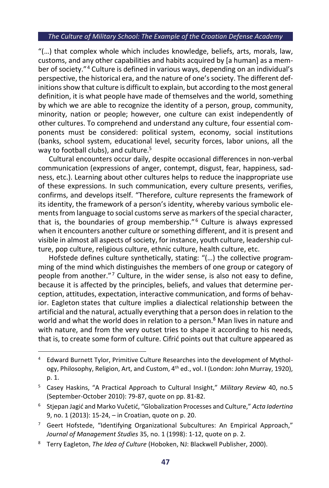"(…) that complex whole which includes knowledge, beliefs, arts, morals, law, customs, and any other capabilities and habits acquired by [a human] as a member of society."<sup>4</sup> Culture is defined in various ways, depending on an individual's perspective, the historical era, and the nature of one's society. The different definitions show that culture is difficult to explain, but according to the most general definition, it is what people have made of themselves and the world, something by which we are able to recognize the identity of a person, group, community, minority, nation or people; however, one culture can exist independently of other cultures. To comprehend and understand any culture, four essential components must be considered: political system, economy, social institutions (banks, school system, educational level, security forces, labor unions, all the way to football clubs), and culture.<sup>5</sup>

Cultural encounters occur daily, despite occasional differences in non-verbal communication (expressions of anger, contempt, disgust, fear, happiness, sadness, etc.). Learning about other cultures helps to reduce the inappropriate use of these expressions. In such communication, every culture presents, verifies, confirms, and develops itself. "Therefore, culture represents the framework of its identity, the framework of a person's identity, whereby various symbolic elements from language to social customs serve as markers of the special character, that is, the boundaries of group membership." <sup>6</sup> Culture is always expressed when it encounters another culture or something different, and it is present and visible in almost all aspects of society, for instance, youth culture, leadership culture, pop culture, religious culture, ethnic culture, health culture, etc.

Hofstede defines culture synthetically, stating: "(…) the collective programming of the mind which distinguishes the members of one group or category of people from another." <sup>7</sup> Culture, in the wider sense, is also not easy to define, because it is affected by the principles, beliefs, and values that determine perception, attitudes, expectation, interactive communication, and forms of behavior. Eagleton states that culture implies a dialectical relationship between the artificial and the natural, actually everything that a person does in relation to the world and what the world does in relation to a person.<sup>8</sup> Man lives in nature and with nature, and from the very outset tries to shape it according to his needs, that is, to create some form of culture. Cifrić points out that culture appeared as

<sup>4</sup> Edward Burnett Tylor, Primitive Culture Researches into the development of Mythology, Philosophy, Religion, Art, and Custom, 4<sup>th</sup> ed., vol. I (London: John Murray, 1920), p. 1.

<sup>5</sup> Casey Haskins, "A Practical Approach to Cultural Insight," *Military Review* 40, no.5 (September-October 2010): 79-87, quote on pp. 81-82.

<sup>6</sup> Stjepan Jagić and Marko Vučetić, "Globalization Processes and Culture," *Acta Iadertina* 9, no. 1 (2013): 15-24, – in Croatian, quote on p. 20.

<sup>&</sup>lt;sup>7</sup> Geert Hofstede, "Identifying Organizational Subcultures: An Empirical Approach," *Journal of Management Studies* 35, no. 1 (1998): 1-12, quote on p. 2.

<sup>8</sup> Terry Eagleton, *The Idea of Culture* (Hoboken, NJ: Blackwell Publisher, 2000).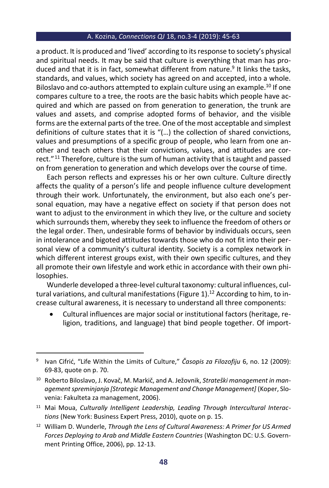a product. It is produced and 'lived' according to its response to society's physical and spiritual needs. It may be said that culture is everything that man has produced and that it is in fact, somewhat different from nature.<sup>9</sup> It links the tasks, standards, and values, which society has agreed on and accepted, into a whole. Biloslavo and co-authors attempted to explain culture using an example.<sup>10</sup> If one compares culture to a tree, the roots are the basic habits which people have acquired and which are passed on from generation to generation, the trunk are values and assets, and comprise adopted forms of behavior, and the visible forms are the external parts of the tree. One of the most acceptable and simplest definitions of culture states that it is "(…) the collection of shared convictions, values and presumptions of a specific group of people, who learn from one another and teach others that their convictions, values, and attitudes are correct." <sup>11</sup> Therefore, culture is the sum of human activity that is taught and passed on from generation to generation and which develops over the course of time.

Each person reflects and expresses his or her own culture. Culture directly affects the quality of a person's life and people influence culture development through their work. Unfortunately, the environment, but also each one's personal equation, may have a negative effect on society if that person does not want to adjust to the environment in which they live, or the culture and society which surrounds them, whereby they seek to influence the freedom of others or the legal order. Then, undesirable forms of behavior by individuals occurs, seen in intolerance and bigoted attitudes towards those who do not fit into their personal view of a community's cultural identity. Society is a complex network in which different interest groups exist, with their own specific cultures, and they all promote their own lifestyle and work ethic in accordance with their own philosophies.

Wunderle developed a three-level cultural taxonomy: cultural influences, cultural variations, and cultural manifestations (Figure 1).<sup>12</sup> According to him, to increase cultural awareness, it is necessary to understand all three components:

• Cultural influences are major social or institutional factors (heritage, religion, traditions, and language) that bind people together. Of import-

<sup>11</sup> Mai Moua, *Culturally Intelligent Leadership, Leading Through Intercultural Interactions* (New York: Business Expert Press, 2010), quote on p. 15.

<sup>9</sup> Ivan Cifrić, "Life Within the Limits of Culture," *Časopis za Filozofiju* 6, no. 12 (2009): 69-83, quote on p. 70.

<sup>10</sup> Roberto Biloslavo, J. Kovač, M. Markič, and A. Ježovnik, *Strateški management in management spreminjanja [Strategic Management and Change Management]* (Koper, Slovenia: Fakulteta za management, 2006).

<sup>12</sup> William D. Wunderle, *Through the Lens of Cultural Awareness: A Primer for US Armed Forces Deploying to Arab and Middle Eastern Countries* (Washington DC: U.S. Government Printing Office, 2006), pp. 12-13.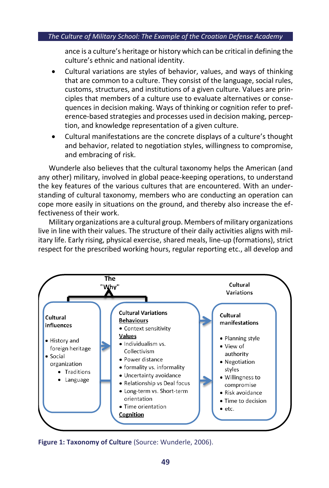ance is a culture's heritage or history which can be critical in defining the culture's ethnic and national identity.

- Cultural variations are styles of behavior, values, and ways of thinking that are common to a culture. They consist of the language, social rules, customs, structures, and institutions of a given culture. Values are principles that members of a culture use to evaluate alternatives or consequences in decision making. Ways of thinking or cognition refer to preference-based strategies and processes used in decision making, perception, and knowledge representation of a given culture.
- Cultural manifestations are the concrete displays of a culture's thought and behavior, related to negotiation styles, willingness to compromise, and embracing of risk.

Wunderle also believes that the cultural taxonomy helps the American (and any other) military, involved in global peace-keeping operations, to understand the key features of the various cultures that are encountered. With an understanding of cultural taxonomy, members who are conducting an operation can cope more easily in situations on the ground, and thereby also increase the effectiveness of their work.

Military organizations are a cultural group. Members of military organizations live in line with their values. The structure of their daily activities aligns with military life. Early rising, physical exercise, shared meals, line-up (formations), strict respect for the prescribed working hours, regular reporting etc., all develop and



**Figure 1: Taxonomy of Culture** (Source: Wunderle, 2006).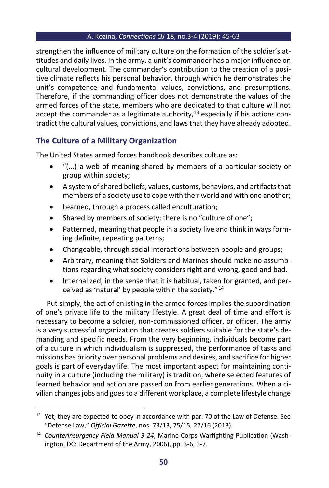strengthen the influence of military culture on the formation of the soldier's attitudes and daily lives. In the army, a unit's commander has a major influence on cultural development. The commander's contribution to the creation of a positive climate reflects his personal behavior, through which he demonstrates the unit's competence and fundamental values, convictions, and presumptions. Therefore, if the commanding officer does not demonstrate the values of the armed forces of the state, members who are dedicated to that culture will not accept the commander as a legitimate authority, $13$  especially if his actions contradict the cultural values, convictions, and laws that they have already adopted.

## **The Culture of a Military Organization**

The United States armed forces handbook describes culture as:

- "(...) a web of meaning shared by members of a particular society or group within society;
- A system of shared beliefs, values, customs, behaviors, and artifacts that members of a society use to cope with their world and with one another;
- Learned, through a process called enculturation;
- Shared by members of society; there is no "culture of one";
- Patterned, meaning that people in a society live and think in ways forming definite, repeating patterns;
- Changeable, through social interactions between people and groups;
- Arbitrary, meaning that Soldiers and Marines should make no assumptions regarding what society considers right and wrong, good and bad.
- Internalized, in the sense that it is habitual, taken for granted, and perceived as 'natural' by people within the society."<sup>14</sup>

Put simply, the act of enlisting in the armed forces implies the subordination of one's private life to the military lifestyle. A great deal of time and effort is necessary to become a soldier, non-commissioned officer, or officer. The army is a very successful organization that creates soldiers suitable for the state's demanding and specific needs. From the very beginning, individuals become part of a culture in which individualism is suppressed, the performance of tasks and missions has priority over personal problems and desires, and sacrifice for higher goals is part of everyday life. The most important aspect for maintaining continuity in a culture (including the military) is tradition, where selected features of learned behavior and action are passed on from earlier generations. When a civilian changes jobs and goes to a different workplace, a complete lifestyle change

<sup>&</sup>lt;sup>13</sup> Yet, they are expected to obey in accordance with par. 70 of the Law of Defense. See "Defense Law," *Official Gazette*, nos. 73/13, 75/15, 27/16 (2013).

<sup>14</sup> *Counterinsurgency Field Manual 3-24*, Marine Corps Warfighting Publication (Washington, DC: Department of the Army, 2006), pp. 3-6, 3-7.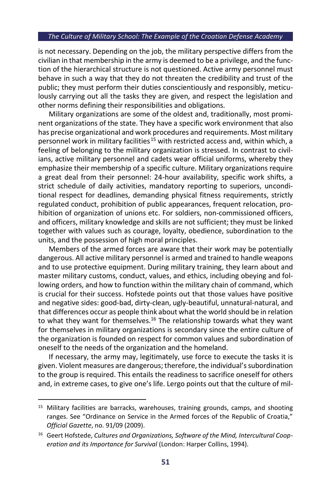is not necessary. Depending on the job, the military perspective differs from the civilian in that membership in the army is deemed to be a privilege, and the function of the hierarchical structure is not questioned. Active army personnel must behave in such a way that they do not threaten the credibility and trust of the public; they must perform their duties conscientiously and responsibly, meticulously carrying out all the tasks they are given, and respect the legislation and other norms defining their responsibilities and obligations.

Military organizations are some of the oldest and, traditionally, most prominent organizations of the state. They have a specific work environment that also has precise organizational and work procedures and requirements. Most military personnel work in military facilities<sup>15</sup> with restricted access and, within which, a feeling of belonging to the military organization is stressed. In contrast to civilians, active military personnel and cadets wear official uniforms, whereby they emphasize their membership of a specific culture. Military organizations require a great deal from their personnel: 24-hour availability, specific work shifts, a strict schedule of daily activities, mandatory reporting to superiors, unconditional respect for deadlines, demanding physical fitness requirements, strictly regulated conduct, prohibition of public appearances, frequent relocation, prohibition of organization of unions etc. For soldiers, non-commissioned officers, and officers, military knowledge and skills are not sufficient; they must be linked together with values such as courage, loyalty, obedience, subordination to the units, and the possession of high moral principles.

Members of the armed forces are aware that their work may be potentially dangerous. All active military personnel is armed and trained to handle weapons and to use protective equipment. During military training, they learn about and master military customs, conduct, values, and ethics, including obeying and following orders, and how to function within the military chain of command, which is crucial for their success. Hofstede points out that those values have positive and negative sides: good-bad, dirty-clean, ugly-beautiful, unnatural-natural, and that differences occur as people think about what the world should be in relation to what they want for themselves.<sup>16</sup> The relationship towards what they want for themselves in military organizations is secondary since the entire culture of the organization is founded on respect for common values and subordination of oneself to the needs of the organization and the homeland.

If necessary, the army may, legitimately, use force to execute the tasks it is given. Violent measures are dangerous; therefore, the individual's subordination to the group is required. This entails the readiness to sacrifice oneself for others and, in extreme cases, to give one's life. Lergo points out that the culture of mil-

 $15$  Military facilities are barracks, warehouses, training grounds, camps, and shooting ranges. See "Ordinance on Service in the Armed forces of the Republic of Croatia," *Official Gazette*, no. 91/09 (2009).

<sup>16</sup> Geert Hofstede, *Cultures and Organizations, Software of the Mind, Intercultural Cooperation and its Importance for Survival* (London: Harper Collins, 1994).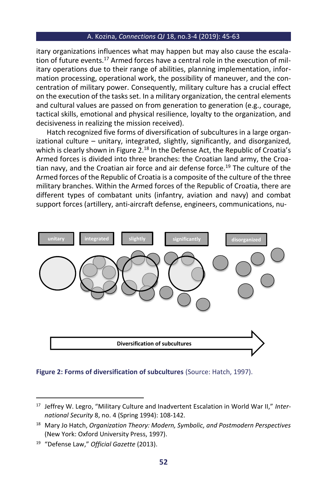itary organizations influences what may happen but may also cause the escalation of future events.<sup>17</sup> Armed forces have a central role in the execution of military operations due to their range of abilities, planning implementation, information processing, operational work, the possibility of maneuver, and the concentration of military power. Consequently, military culture has a crucial effect on the execution of the tasks set. In a military organization, the central elements and cultural values are passed on from generation to generation (e.g., courage, tactical skills, emotional and physical resilience, loyalty to the organization, and decisiveness in realizing the mission received).

Hatch recognized five forms of diversification of subcultures in a large organizational culture – unitary, integrated, slightly, significantly, and disorganized, which is clearly shown in Figure 2.<sup>18</sup> In the Defense Act, the Republic of Croatia's Armed forces is divided into three branches: the Croatian land army, the Croatian navy, and the Croatian air force and air defense force.<sup>19</sup> The culture of the Armed forces of the Republic of Croatia is a composite of the culture of the three military branches. Within the Armed forces of the Republic of Croatia, there are different types of combatant units (infantry, aviation and navy) and combat support forces (artillery, anti-aircraft defense, engineers, communications, nu-



#### **Figure 2: Forms of diversification of subcultures** (Source: Hatch, 1997).

<sup>17</sup> Jeffrey W. Legro, "Military Culture and Inadvertent Escalation in World War II," *International Security* 8, no. 4 (Spring 1994): 108-142.

<sup>18</sup> Mary Jo Hatch, *Organization Theory: Modern, Symbolic, and Postmodern Perspectives*  (New York: Oxford University Press, 1997).

<sup>19</sup> "Defense Law," *Official Gazette* (2013).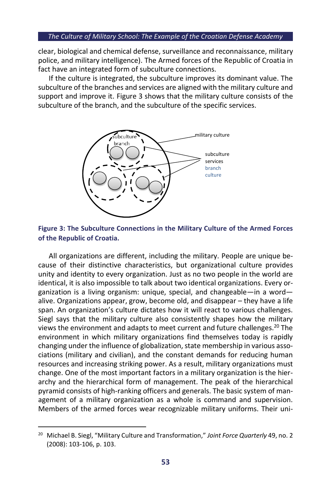clear, biological and chemical defense, surveillance and reconnaissance, military police, and military intelligence). The Armed forces of the Republic of Croatia in fact have an integrated form of subculture connections.

If the culture is integrated, the subculture improves its dominant value. The subculture of the branches and services are aligned with the military culture and support and improve it. Figure 3 shows that the military culture consists of the subculture of the branch, and the subculture of the specific services.





All organizations are different, including the military. People are unique because of their distinctive characteristics, but organizational culture provides unity and identity to every organization. Just as no two people in the world are identical, it is also impossible to talk about two identical organizations. Every organization is a living organism: unique, special, and changeable—in a word alive. Organizations appear, grow, become old, and disappear – they have a life span. An organization's culture dictates how it will react to various challenges. Siegl says that the military culture also consistently shapes how the military views the environment and adapts to meet current and future challenges.<sup>20</sup> The environment in which military organizations find themselves today is rapidly changing under the influence of globalization, state membership in various associations (military and civilian), and the constant demands for reducing human resources and increasing striking power. As a result, military organizations must change. One of the most important factors in a military organization is the hierarchy and the hierarchical form of management. The peak of the hierarchical pyramid consists of high-ranking officers and generals. The basic system of management of a military organization as a whole is command and supervision. Members of the armed forces wear recognizable military uniforms. Their uni-

<sup>20</sup> Michael B. Siegl, "Military Culture and Transformation," *Joint Force Quarterly* 49, no. 2 (2008): 103-106, p. 103.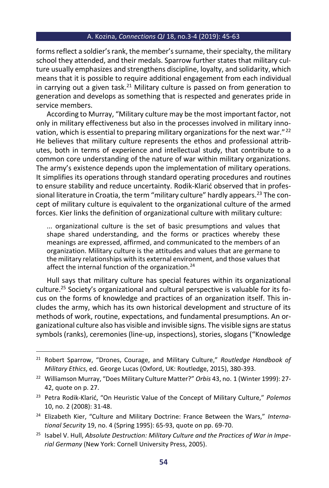forms reflect a soldier's rank, the member's surname, their specialty, the military school they attended, and their medals. Sparrow further states that military culture usually emphasizes and strengthens discipline, loyalty, and solidarity, which means that it is possible to require additional engagement from each individual in carrying out a given task. $21$  Military culture is passed on from generation to generation and develops as something that is respected and generates pride in service members.

According to Murray, "Military culture may be the most important factor, not only in military effectiveness but also in the processes involved in military innovation, which is essential to preparing military organizations for the next war." 22 He believes that military culture represents the ethos and professional attributes, both in terms of experience and intellectual study, that contribute to a common core understanding of the nature of war within military organizations. The army's existence depends upon the implementation of military operations. It simplifies its operations through standard operating procedures and routines to ensure stability and reduce uncertainty. Rodik-Klarić observed that in professional literature in Croatia, the term "military culture" hardly appears.<sup>23</sup> The concept of military culture is equivalent to the organizational culture of the armed forces. Kier links the definition of organizational culture with military culture:

... organizational culture is the set of basic presumptions and values that shape shared understanding, and the forms or practices whereby these meanings are expressed, affirmed, and communicated to the members of an organization. Military culture is the attitudes and values that are germane to the military relationships with its external environment, and those values that affect the internal function of the organization.<sup>24</sup>

Hull says that military culture has special features within its organizational culture.<sup>25</sup> Society's organizational and cultural perspective is valuable for its focus on the forms of knowledge and practices of an organization itself. This includes the army, which has its own historical development and structure of its methods of work, routine, expectations, and fundamental presumptions. An organizational culture also has visible and invisible signs. The visible signs are status symbols (ranks), ceremonies (line-up, inspections), stories, slogans ("Knowledge

<sup>21</sup> Robert Sparrow, "Drones, Courage, and Military Culture," *Routledge Handbook of Military Ethics*, ed. George Lucas (Oxford, UK: Routledge, 2015), 380-393.

<sup>22</sup> Williamson Murray, "Does Military Culture Matter?" *Orbis* 43, no. 1 (Winter 1999): 27- 42, quote on p. 27.

<sup>23</sup> Petra Rodik-Klarić, "On Heuristic Value of the Concept of Military Culture," *Polemos* 10, no. 2 (2008): 31-48.

<sup>24</sup> Elizabeth Kier, "Culture and Military Doctrine: France Between the Wars," *International Security* 19, no. 4 (Spring 1995): 65-93, quote on pp. 69-70.

<sup>25</sup> Isabel V. Hull, *Absolute Destruction: Military Culture and the Practices of War in Imperial Germany* (New York: Cornell University Press, 2005).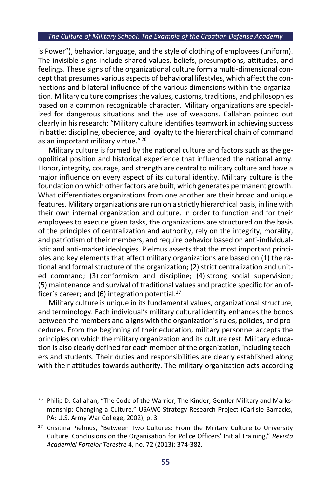is Power"), behavior, language, and the style of clothing of employees (uniform). The invisible signs include shared values, beliefs, presumptions, attitudes, and feelings. These signs of the organizational culture form a multi-dimensional concept that presumes various aspects of behavioral lifestyles, which affect the connections and bilateral influence of the various dimensions within the organization. Military culture comprises the values, customs, traditions, and philosophies based on a common recognizable character. Military organizations are specialized for dangerous situations and the use of weapons. Callahan pointed out clearly in his research: "Military culture identifies teamwork in achieving success in battle: discipline, obedience, and loyalty to the hierarchical chain of command as an important military virtue."<sup>26</sup>

Military culture is formed by the national culture and factors such as the geopolitical position and historical experience that influenced the national army. Honor, integrity, courage, and strength are central to military culture and have a major influence on every aspect of its cultural identity. Military culture is the foundation on which other factors are built, which generates permanent growth. What differentiates organizations from one another are their broad and unique features. Military organizations are run on a strictly hierarchical basis, in line with their own internal organization and culture. In order to function and for their employees to execute given tasks, the organizations are structured on the basis of the principles of centralization and authority, rely on the integrity, morality, and patriotism of their members, and require behavior based on anti-individualistic and anti-market ideologies. Pielmus asserts that the most important principles and key elements that affect military organizations are based on (1) the rational and formal structure of the organization; (2) strict centralization and united command; (3) conformism and discipline; (4) strong social supervision; (5) maintenance and survival of traditional values and practice specific for an officer's career; and  $(6)$  integration potential.<sup>27</sup>

Military culture is unique in its fundamental values, organizational structure, and terminology. Each individual's military cultural identity enhances the bonds between the members and aligns with the organization's rules, policies, and procedures. From the beginning of their education, military personnel accepts the principles on which the military organization and its culture rest. Military education is also clearly defined for each member of the organization, including teachers and students. Their duties and responsibilities are clearly established along with their attitudes towards authority. The military organization acts according

<sup>&</sup>lt;sup>26</sup> Philip D. Callahan, "The Code of the Warrior, The Kinder, Gentler Military and Marksmanship: Changing a Culture," USAWC Strategy Research Project (Carlisle Barracks, PA: U.S. Army War College, 2002), p. 3.

 $27$  Crisitina Pielmus, "Between Two Cultures: From the Military Culture to University Culture. Conclusions on the Organisation for Police Officers' Initial Training," *Revista Academiei Fortelor Terestre* 4, no. 72 (2013): 374-382.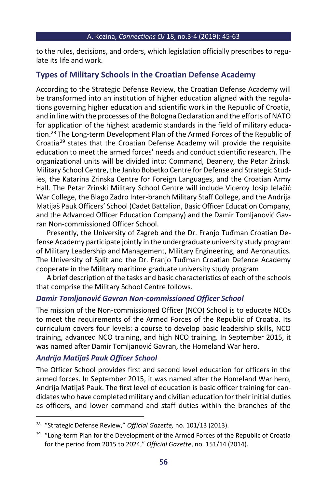to the rules, decisions, and orders, which legislation officially prescribes to regulate its life and work.

## **Types of Military Schools in the Croatian Defense Academy**

According to the Strategic Defense Review, the Croatian Defense Academy will be transformed into an institution of higher education aligned with the regulations governing higher education and scientific work in the Republic of Croatia, and in line with the processes of the Bologna Declaration and the efforts of NATO for application of the highest academic standards in the field of military education.<sup>28</sup> The Long-term Development Plan of the Armed Forces of the Republic of Croatia<sup>29</sup> states that the Croatian Defense Academy will provide the requisite education to meet the armed forces' needs and conduct scientific research. The organizational units will be divided into: Command, Deanery, the Petar Zrinski Military School Centre, the Janko Bobetko Centre for Defense and Strategic Studies, the Katarina Zrinska Centre for Foreign Languages, and the Croatian Army Hall. The Petar Zrinski Military School Centre will include Viceroy Josip Jelačić War College, the Blago Zadro Inter-branch Military Staff College, and the Andrija Matijaš Pauk Officers' School (Cadet Battalion, Basic Officer Education Company, and the Advanced Officer Education Company) and the Damir Tomljanović Gavran Non-commissioned Officer School.

Presently, the University of Zagreb and the Dr. Franjo Tuđman Croatian Defense Academy participate jointly in the undergraduate university study program of Military Leadership and Management, Military Engineering, and Aeronautics. The University of Split and the Dr. Franjo Tuđman Croatian Defence Academy cooperate in the Military maritime graduate university study program

A brief description of the tasks and basic characteristics of each of the schools that comprise the Military School Centre follows.

## *Damir Tomljanović Gavran Non-commissioned Officer School*

The mission of the Non-commissioned Officer (NCO) School is to educate NCOs to meet the requirements of the Armed Forces of the Republic of Croatia. Its curriculum covers four levels: a course to develop basic leadership skills, NCO training, advanced NCO training, and high NCO training. In September 2015, it was named after Damir Tomljanović Gavran, the Homeland War hero.

## *Andrija Matijaš Pauk Officer School*

The Officer School provides first and second level education for officers in the armed forces. In September 2015, it was named after the Homeland War hero, Andrija Matijaš Pauk. The first level of education is basic officer training for candidates who have completed military and civilian education for their initial duties as officers, and lower command and staff duties within the branches of the

<sup>28</sup> "Strategic Defense Review," *Official Gazette,* no. 101/13 (2013).

<sup>&</sup>lt;sup>29</sup> "Long-term Plan for the Development of the Armed Forces of the Republic of Croatia for the period from 2015 to 2024," *Official Gazette*, no. 151/14 (2014).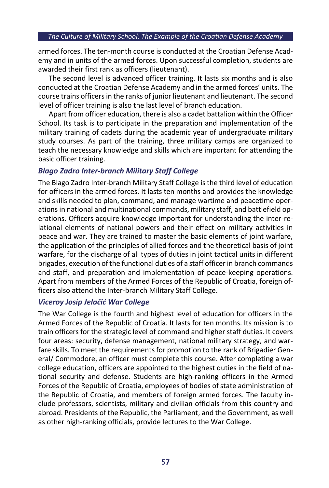armed forces. The ten-month course is conducted at the Croatian Defense Academy and in units of the armed forces. Upon successful completion, students are awarded their first rank as officers (lieutenant).

The second level is advanced officer training. It lasts six months and is also conducted at the Croatian Defense Academy and in the armed forces' units. The course trains officers in the ranks of junior lieutenant and lieutenant. The second level of officer training is also the last level of branch education.

Apart from officer education, there is also a cadet battalion within the Officer School. Its task is to participate in the preparation and implementation of the military training of cadets during the academic year of undergraduate military study courses. As part of the training, three military camps are organized to teach the necessary knowledge and skills which are important for attending the basic officer training.

## *Blago Zadro Inter-branch Military Staff College*

The Blago Zadro Inter-branch Military Staff College is the third level of education for officers in the armed forces. It lasts ten months and provides the knowledge and skills needed to plan, command, and manage wartime and peacetime operations in national and multinational commands, military staff, and battlefield operations. Officers acquire knowledge important for understanding the inter-relational elements of national powers and their effect on military activities in peace and war. They are trained to master the basic elements of joint warfare, the application of the principles of allied forces and the theoretical basis of joint warfare, for the discharge of all types of duties in joint tactical units in different brigades, execution of the functional duties of a staff officer in branch commands and staff, and preparation and implementation of peace-keeping operations. Apart from members of the Armed Forces of the Republic of Croatia, foreign officers also attend the Inter-branch Military Staff College.

## *Viceroy Josip Jelačić War College*

The War College is the fourth and highest level of education for officers in the Armed Forces of the Republic of Croatia. It lasts for ten months. Its mission is to train officers for the strategic level of command and higher staff duties. It covers four areas: security, defense management, national military strategy, and warfare skills. To meet the requirements for promotion to the rank of Brigadier General/ Commodore, an officer must complete this course. After completing a war college education, officers are appointed to the highest duties in the field of national security and defense. Students are high-ranking officers in the Armed Forces of the Republic of Croatia, employees of bodies of state administration of the Republic of Croatia, and members of foreign armed forces. The faculty include professors, scientists, military and civilian officials from this country and abroad. Presidents of the Republic, the Parliament, and the Government, as well as other high-ranking officials, provide lectures to the War College.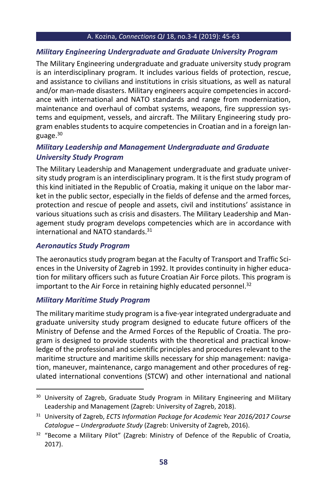## *Military Engineering Undergraduate and Graduate University Program*

The Military Engineering undergraduate and graduate university study program is an interdisciplinary program. It includes various fields of protection, rescue, and assistance to civilians and institutions in crisis situations, as well as natural and/or man-made disasters. Military engineers acquire competencies in accordance with international and NATO standards and range from modernization, maintenance and overhaul of combat systems, weapons, fire suppression systems and equipment, vessels, and aircraft. The Military Engineering study program enables students to acquire competencies in Croatian and in a foreign language.<sup>30</sup>

## *Military Leadership and Management Undergraduate and Graduate University Study Program*

The Military Leadership and Management undergraduate and graduate university study program is an interdisciplinary program. It is the first study program of this kind initiated in the Republic of Croatia, making it unique on the labor market in the public sector, especially in the fields of defense and the armed forces, protection and rescue of people and assets, civil and institutions' assistance in various situations such as crisis and disasters. The Military Leadership and Management study program develops competencies which are in accordance with international and NATO standards. 31

## *Aeronautics Study Program*

The aeronautics study program began at the Faculty of Transport and Traffic Sciences in the University of Zagreb in 1992. It provides continuity in higher education for military officers such as future Croatian Air Force pilots. This program is important to the Air Force in retaining highly educated personnel. 32

## *Military Maritime Study Program*

The military maritime study program is a five-year integrated undergraduate and graduate university study program designed to educate future officers of the Ministry of Defense and the Armed Forces of the Republic of Croatia. The program is designed to provide students with the theoretical and practical knowledge of the professional and scientific principles and procedures relevant to the maritime structure and maritime skills necessary for ship management: navigation, maneuver, maintenance, cargo management and other procedures of regulated international conventions (STCW) and other international and national

<sup>&</sup>lt;sup>30</sup> University of Zagreb, Graduate Study Program in Military Engineering and Military Leadership and Management (Zagreb: University of Zagreb, 2018).

<sup>31</sup> University of Zagreb, *ECTS Information Package for Academic Year 2016/2017 Course Catalogue – Undergraduate Study* (Zagreb: University of Zagreb, 2016).

<sup>&</sup>lt;sup>32</sup> "Become a Military Pilot" (Zagreb: Ministry of Defence of the Republic of Croatia, 2017).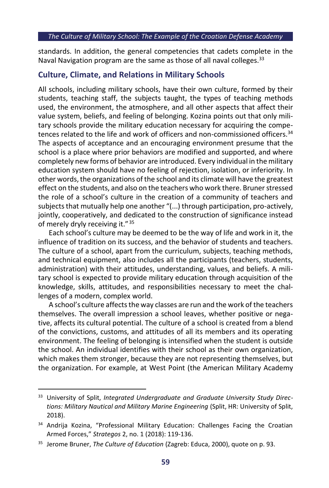standards. In addition, the general competencies that cadets complete in the Naval Navigation program are the same as those of all naval colleges.  $33$ 

#### **Culture, Climate, and Relations in Military Schools**

All schools, including military schools, have their own culture, formed by their students, teaching staff, the subjects taught, the types of teaching methods used, the environment, the atmosphere, and all other aspects that affect their value system, beliefs, and feeling of belonging. Kozina points out that only military schools provide the military education necessary for acquiring the competences related to the life and work of officers and non-commissioned officers.<sup>34</sup> The aspects of acceptance and an encouraging environment presume that the school is a place where prior behaviors are modified and supported, and where completely new forms of behavior are introduced. Every individual in the military education system should have no feeling of rejection, isolation, or inferiority. In other words, the organizations of the school and its climate will have the greatest effect on the students, and also on the teachers who work there. Bruner stressed the role of a school's culture in the creation of a community of teachers and subjects that mutually help one another "(...) through participation, pro-actively, jointly, cooperatively, and dedicated to the construction of significance instead of merely dryly receiving it."<sup>35</sup>

Each school's culture may be deemed to be the way of life and work in it, the influence of tradition on its success, and the behavior of students and teachers. The culture of a school, apart from the curriculum, subjects, teaching methods, and technical equipment, also includes all the participants (teachers, students, administration) with their attitudes, understanding, values, and beliefs. A military school is expected to provide military education through acquisition of the knowledge, skills, attitudes, and responsibilities necessary to meet the challenges of a modern, complex world.

A school's culture affects the way classes are run and the work of the teachers themselves. The overall impression a school leaves, whether positive or negative, affects its cultural potential. The culture of a school is created from a blend of the convictions, customs, and attitudes of all its members and its operating environment. The feeling of belonging is intensified when the student is outside the school. An individual identifies with their school as their own organization, which makes them stronger, because they are not representing themselves, but the organization. For example, at West Point (the American Military Academy

<sup>33</sup> University of Split, *Integrated Undergraduate and Graduate University Study Directions: Military Nautical and Military Marine Engineering* (Split, HR: University of Split, 2018).

<sup>&</sup>lt;sup>34</sup> Andrija Kozina, "Professional Military Education: Challenges Facing the Croatian Armed Forces," *Strategos* 2, no. 1 (2018): 119-136.

<sup>35</sup> Jerome Bruner, *The Culture of Education* (Zagreb: Educa, 2000), quote on p. 93.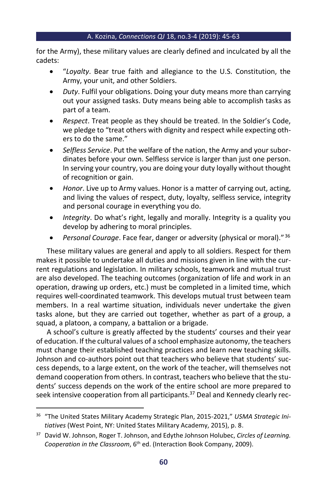for the Army), these military values are clearly defined and inculcated by all the cadets:

- "*Loyalty*. Bear true faith and allegiance to the U.S. Constitution, the Army, your unit, and other Soldiers.
- *Duty*. Fulfil your obligations. Doing your duty means more than carrying out your assigned tasks. Duty means being able to accomplish tasks as part of a team.
- *Respect*. Treat people as they should be treated. In the Soldier's Code, we pledge to "treat others with dignity and respect while expecting others to do the same."
- *Selfless Service*. Put the welfare of the nation, the Army and your subordinates before your own. Selfless service is larger than just one person. In serving your country, you are doing your duty loyally without thought of recognition or gain.
- *Honor*. Live up to Army values. Honor is a matter of carrying out, acting, and living the values of respect, duty, loyalty, selfless service, integrity and personal courage in everything you do.
- *Integrity*. Do what's right, legally and morally. Integrity is a quality you develop by adhering to moral principles.
- *Personal Courage*. Face fear, danger or adversity (physical or moral)." <sup>36</sup>

These military values are general and apply to all soldiers. Respect for them makes it possible to undertake all duties and missions given in line with the current regulations and legislation. In military schools, teamwork and mutual trust are also developed. The teaching outcomes (organization of life and work in an operation, drawing up orders, etc.) must be completed in a limited time, which requires well-coordinated teamwork. This develops mutual trust between team members. In a real wartime situation, individuals never undertake the given tasks alone, but they are carried out together, whether as part of a group, a squad, a platoon, a company, a battalion or a brigade.

A school's culture is greatly affected by the students' courses and their year of education. If the cultural values of a school emphasize autonomy, the teachers must change their established teaching practices and learn new teaching skills. Johnson and co-authors point out that teachers who believe that students' success depends, to a large extent, on the work of the teacher, will themselves not demand cooperation from others. In contrast, teachers who believe that the students' success depends on the work of the entire school are more prepared to seek intensive cooperation from all participants.<sup>37</sup> Deal and Kennedy clearly rec-

<sup>36</sup> "The United States Military Academy Strategic Plan, 2015-2021," *USMA Strategic Initiatives* (West Point, NY: United States Military Academy, 2015), p. 8.

<sup>37</sup> David W. Johnson, Roger T. Johnson, and Edythe Johnson Holubec, *Circles of Learning. Cooperation in the Classroom*, 6th ed. (Interaction Book Company, 2009).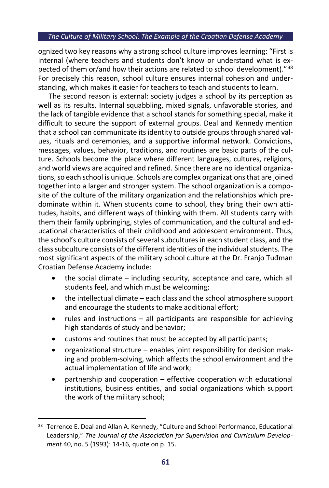ognized two key reasons why a strong school culture improves learning: "First is internal (where teachers and students don't know or understand what is expected of them or/and how their actions are related to school development)."<sup>38</sup> For precisely this reason, school culture ensures internal cohesion and understanding, which makes it easier for teachers to teach and students to learn.

The second reason is external: society judges a school by its perception as well as its results. Internal squabbling, mixed signals, unfavorable stories, and the lack of tangible evidence that a school stands for something special, make it difficult to secure the support of external groups. Deal and Kennedy mention that a school can communicate its identity to outside groups through shared values, rituals and ceremonies, and a supportive informal network. Convictions, messages, values, behavior, traditions, and routines are basic parts of the culture. Schools become the place where different languages, cultures, religions, and world views are acquired and refined. Since there are no identical organizations, so each school is unique. Schools are complex organizations that are joined together into a larger and stronger system. The school organization is a composite of the culture of the military organization and the relationships which predominate within it. When students come to school, they bring their own attitudes, habits, and different ways of thinking with them. All students carry with them their family upbringing, styles of communication, and the cultural and educational characteristics of their childhood and adolescent environment. Thus, the school's culture consists of several subcultures in each student class, and the class subculture consists of the different identities of the individual students. The most significant aspects of the military school culture at the Dr. Franjo Tuđman Croatian Defense Academy include:

- the social climate  $-$  including security, acceptance and care, which all students feel, and which must be welcoming;
- the intellectual climate  $-$  each class and the school atmosphere support and encourage the students to make additional effort;
- rules and instructions all participants are responsible for achieving high standards of study and behavior;
- customs and routines that must be accepted by all participants;
- organizational structure enables joint responsibility for decision making and problem-solving, which affects the school environment and the actual implementation of life and work;
- partnership and cooperation effective cooperation with educational institutions, business entities, and social organizations which support the work of the military school;

<sup>&</sup>lt;sup>38</sup> Terrence E. Deal and Allan A. Kennedy, "Culture and School Performance, Educational Leadership," *The Journal of the Association for Supervision and Curriculum Development* 40, no. 5 (1993): 14-16, quote on p. 15.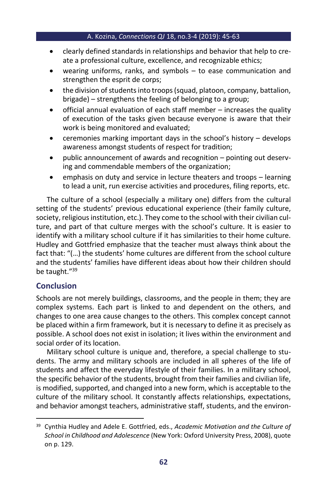- clearly defined standards in relationships and behavior that help to create a professional culture, excellence, and recognizable ethics;
- wearing uniforms, ranks, and symbols  $-$  to ease communication and strengthen the esprit de corps;
- the division of students into troops (squad, platoon, company, battalion, brigade) – strengthens the feeling of belonging to a group;
- official annual evaluation of each staff member increases the quality of execution of the tasks given because everyone is aware that their work is being monitored and evaluated;
- ceremonies marking important days in the school's history develops awareness amongst students of respect for tradition;
- public announcement of awards and recognition pointing out deserving and commendable members of the organization;
- emphasis on duty and service in lecture theaters and troops learning to lead a unit, run exercise activities and procedures, filing reports, etc.

The culture of a school (especially a military one) differs from the cultural setting of the students' previous educational experience (their family culture, society, religious institution, etc.). They come to the school with their civilian culture, and part of that culture merges with the school's culture. It is easier to identify with a military school culture if it has similarities to their home culture. Hudley and Gottfried emphasize that the teacher must always think about the fact that: "(…) the students' home cultures are different from the school culture and the students' families have different ideas about how their children should be taught."<sup>39</sup>

## **Conclusion**

Schools are not merely buildings, classrooms, and the people in them; they are complex systems. Each part is linked to and dependent on the others, and changes to one area cause changes to the others. This complex concept cannot be placed within a firm framework, but it is necessary to define it as precisely as possible. A school does not exist in isolation; it lives within the environment and social order of its location.

Military school culture is unique and, therefore, a special challenge to students. The army and military schools are included in all spheres of the life of students and affect the everyday lifestyle of their families. In a military school, the specific behavior of the students, brought from their families and civilian life, is modified, supported, and changed into a new form, which is acceptable to the culture of the military school. It constantly affects relationships, expectations, and behavior amongst teachers, administrative staff, students, and the environ-

<sup>39</sup> Cynthia Hudley and Adele E. Gottfried, eds., *Academic Motivation and the Culture of School in Childhood and Adolescence* (New York: Oxford University Press, 2008), quote on p. 129.